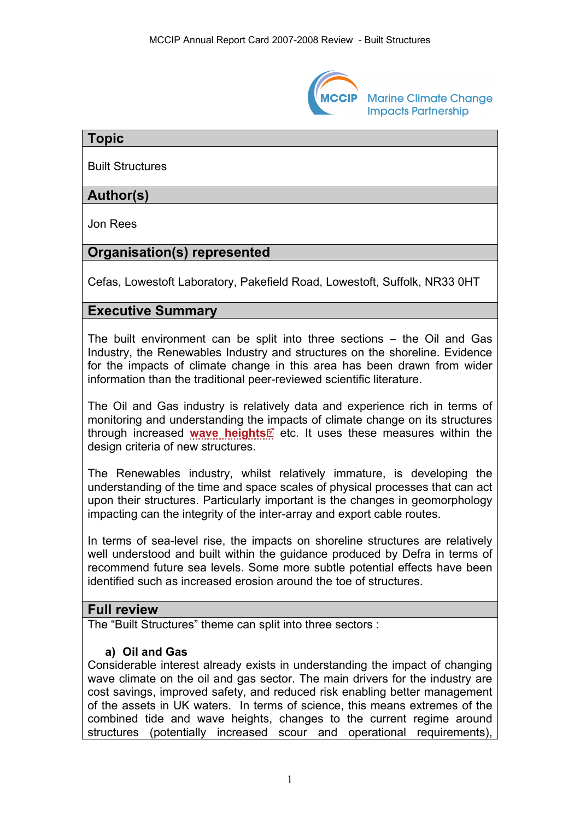

**Marine Climate Change Impacts Partnership** 

### **Topic**

Built Structures

## **Author(s)**

Jon Rees

# **Organisation(s) represented**

Cefas, Lowestoft Laboratory, Pakefield Road, Lowestoft, Suffolk, NR33 0HT

## **Executive Summary**

The built environment can be split into three sections – the Oil and Gas Industry, the Renewables Industry and structures on the shoreline. Evidence for the impacts of climate change in this area has been drawn from wider information than the traditional peer-reviewed scientific literature.

The Oil and Gas industry is relatively data and experience rich in terms of monitoring and understanding the [im](http://www.mccip.org.uk/arc/2007/glossary.htm)pacts of climate change on its structures through increased [wave heights](http://www.mccip.org.uk/arc/2007/glossary.htm#Wave_height)<sup>2</sup> etc. It uses these measures within the design criteria of new structures.

The Renewables industry, whilst relatively immature, is developing the understanding of the time and space scales of physical processes that can act upon their structures. Particularly important is the changes in geomorphology impacting can the integrity of the inter-array and export cable routes.

In terms of sea-level rise, the impacts on shoreline structures are relatively well understood and built within the guidance produced by Defra in terms of recommend future sea levels. Some more subtle potential effects have been identified such as increased erosion around the toe of structures.

## **Full review**

The "Built Structures" theme can split into three sectors :

#### **a) Oil and Gas**

Considerable interest already exists in understanding the impact of changing wave climate on the oil and gas sector. The main drivers for the industry are cost savings, improved safety, and reduced risk enabling better management of the assets in UK waters. In terms of science, this means extremes of the combined tide and wave heights, changes to the current regime around structures (potentially increased scour and operational requirements),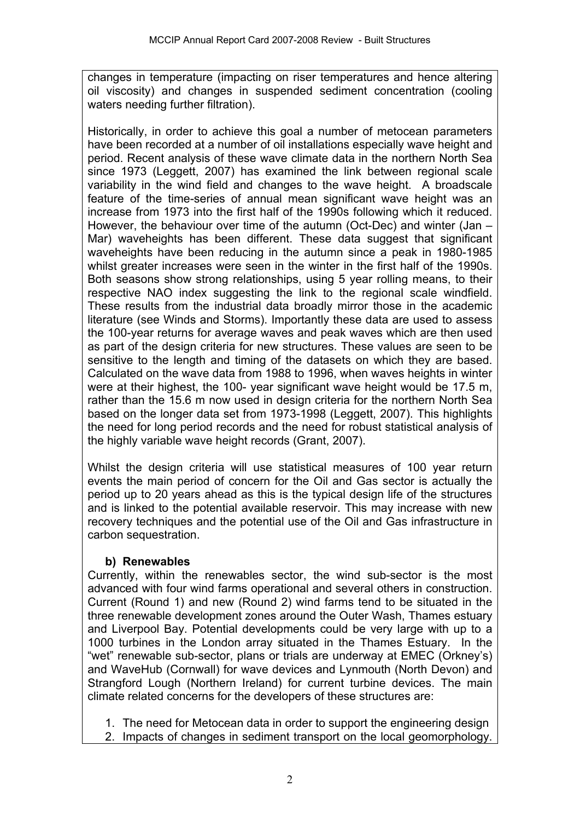changes in temperature (impacting on riser temperatures and hence altering oil viscosity) and changes in suspended sediment concentration (cooling waters needing further filtration).

Historically, in order to achieve this goal a number of metocean parameters have been recorded at a number of oil installations especially wave height and period. Recent analysis of these wave climate data in the northern North Sea since 1973 (Leggett, 2007) has examined the link between regional scale variability in the wind field and changes to the wave height. A broadscale feature of the time-series of annual mean significant wave height was an increase from 1973 into the first half of the 1990s following which it reduced. However, the behaviour over time of the autumn (Oct-Dec) and winter (Jan – Mar) waveheights has been different. These data suggest that significant waveheights have been reducing in the autumn since a peak in 1980-1985 whilst greater increases were seen in the winter in the first half of the 1990s. Both seasons show strong relationships, using 5 year rolling means, to their respective NAO index suggesting the link to the regional scale windfield. These results from the industrial data broadly mirror those in the academic literature (see Winds and Storms). Importantly these data are used to assess the 100-year returns for average waves and peak waves which are then used as part of the design criteria for new structures. These values are seen to be sensitive to the length and timing of the datasets on which they are based. Calculated on the wave data from 1988 to 1996, when waves heights in winter were at their highest, the 100- year significant wave height would be 17.5 m, rather than the 15.6 m now used in design criteria for the northern North Sea based on the longer data set from 1973-1998 (Leggett, 2007). This highlights the need for long period records and the need for robust statistical analysis of the highly variable wave height records (Grant, 2007).

Whilst the design criteria will use statistical measures of 100 year return events the main period of concern for the Oil and Gas sector is actually the period up to 20 years ahead as this is the typical design life of the structures and is linked to the potential available reservoir. This may increase with new recovery techniques and the potential use of the Oil and Gas infrastructure in carbon sequestration.

#### **b) Renewables**

Currently, within the renewables sector, the wind sub-sector is the most advanced with four wind farms operational and several others in construction. Current (Round 1) and new (Round 2) wind farms tend to be situated in the three renewable development zones around the Outer Wash, Thames estuary and Liverpool Bay. Potential developments could be very large with up to a 1000 turbines in the London array situated in the Thames Estuary. In the "wet" renewable sub-sector, plans or trials are underway at EMEC (Orkney's) and WaveHub (Cornwall) for wave devices and Lynmouth (North Devon) and Strangford Lough (Northern Ireland) for current turbine devices. The main climate related concerns for the developers of these structures are:

- 1. The need for Metocean data in order to support the engineering design
- 2. Impacts of changes in sediment transport on the local geomorphology.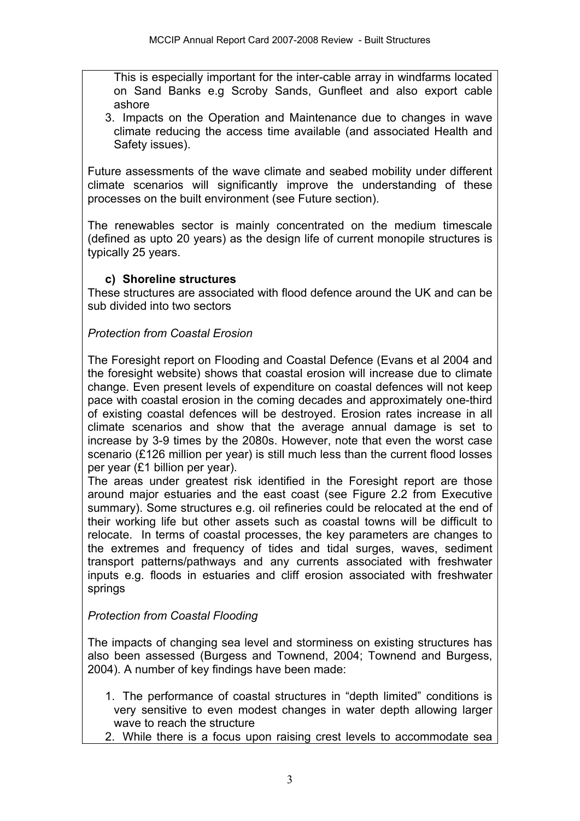This is especially important for the inter-cable array in windfarms located on Sand Banks e.g Scroby Sands, Gunfleet and also export cable ashore

3. Impacts on the Operation and Maintenance due to changes in wave climate reducing the access time available (and associated Health and Safety issues).

Future assessments of the wave climate and seabed mobility under different climate scenarios will significantly improve the understanding of these processes on the built environment (see Future section).

The renewables sector is mainly concentrated on the medium timescale (defined as upto 20 years) as the design life of current monopile structures is typically 25 years.

## **c) Shoreline structures**

These structures are associated with flood defence around the UK and can be sub divided into two sectors

## *Protection from Coastal Erosion*

The Foresight report on Flooding and Coastal Defence (Evans et al 2004 and the foresight website) shows that coastal erosion will increase due to climate change. Even present levels of expenditure on coastal defences will not keep pace with coastal erosion in the coming decades and approximately one-third of existing coastal defences will be destroyed. Erosion rates increase in all climate scenarios and show that the average annual damage is set to increase by 3-9 times by the 2080s. However, note that even the worst case scenario (£126 million per year) is still much less than the current flood losses per year (£1 billion per year).

The areas under greatest risk identified in the Foresight report are those around major estuaries and the east coast (see Figure 2.2 from Executive summary). Some structures e.g. oil refineries could be relocated at the end of their working life but other assets such as coastal towns will be difficult to relocate. In terms of coastal processes, the key parameters are changes to the extremes and frequency of tides and tidal surges, waves, sediment transport patterns/pathways and any currents associated with freshwater inputs e.g. floods in estuaries and cliff erosion associated with freshwater springs

#### *Protection from Coastal Flooding*

The impacts of changing sea level and storminess on existing structures has also been assessed (Burgess and Townend, 2004; Townend and Burgess, 2004). A number of key findings have been made:

- 1. The performance of coastal structures in "depth limited" conditions is very sensitive to even modest changes in water depth allowing larger wave to reach the structure
- 2. While there is a focus upon raising crest levels to accommodate sea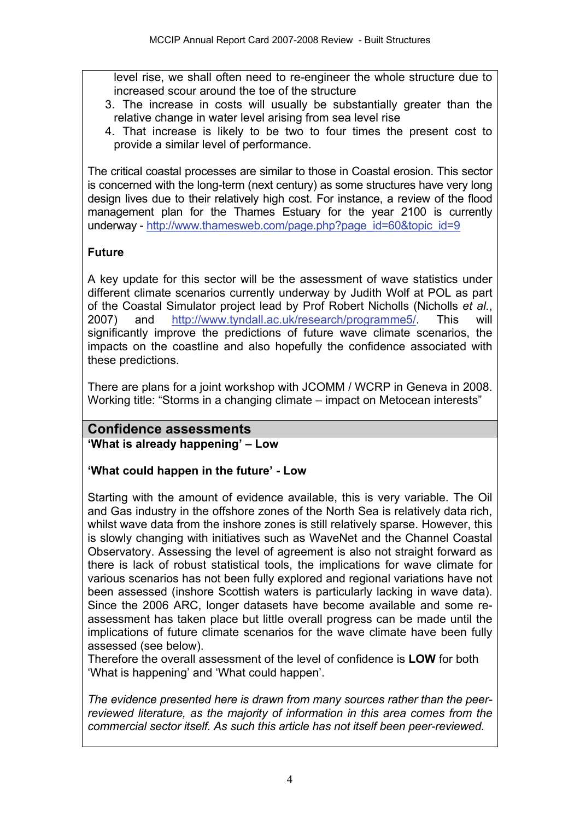level rise, we shall often need to re-engineer the whole structure due to increased scour around the toe of the structure

- 3. The increase in costs will usually be substantially greater than the relative change in water level arising from sea level rise
- 4. That increase is likely to be two to four times the present cost to provide a similar level of performance.

The critical coastal processes are similar to those in Coastal erosion. This sector is concerned with the long-term (next century) as some structures have very long design lives due to their relatively high cost. For instance, a review of the flood management plan for the Thames Estuary for the year 2100 is currently underway - [http://www.thamesweb.com/page.php?page\\_id=60&topic\\_id=9](http://www.thamesweb.com/page.php?page_id=60&topic_id=9)

## **Future**

A key update for this sector will be the assessment of wave statistics under different climate scenarios currently underway by Judith Wolf at POL as part of the Coastal Simulator project lead by Prof Robert Nicholls (Nicholls *et al.*, 2007) and <http://www.tyndall.ac.uk/research/programme5/>. This will significantly improve the predictions of future wave climate scenarios, the impacts on the coastline and also hopefully the confidence associated with these predictions.

There are plans for a joint workshop with JCOMM / WCRP in Geneva in 2008. Working title: "Storms in a changing climate – impact on Metocean interests"

## **Confidence assessments**

**'What is already happening' – Low** 

#### **'What could happen in the future' - Low**

Starting with the amount of evidence available, this is very variable. The Oil and Gas industry in the offshore zones of the North Sea is relatively data rich, whilst wave data from the inshore zones is still relatively sparse. However, this is slowly changing with initiatives such as WaveNet and the Channel Coastal Observatory. Assessing the level of agreement is also not straight forward as there is lack of robust statistical tools, the implications for wave climate for various scenarios has not been fully explored and regional variations have not been assessed (inshore Scottish waters is particularly lacking in wave data). Since the 2006 ARC, longer datasets have become available and some reassessment has taken place but little overall progress can be made until the implications of future climate scenarios for the wave climate have been fully assessed (see below).

Therefore the overall assessment of the level of confidence is **LOW** for both 'What is happening' and 'What could happen'.

*The evidence presented here is drawn from many sources rather than the peerreviewed literature, as the majority of information in this area comes from the commercial sector itself. As such this article has not itself been peer-reviewed.*